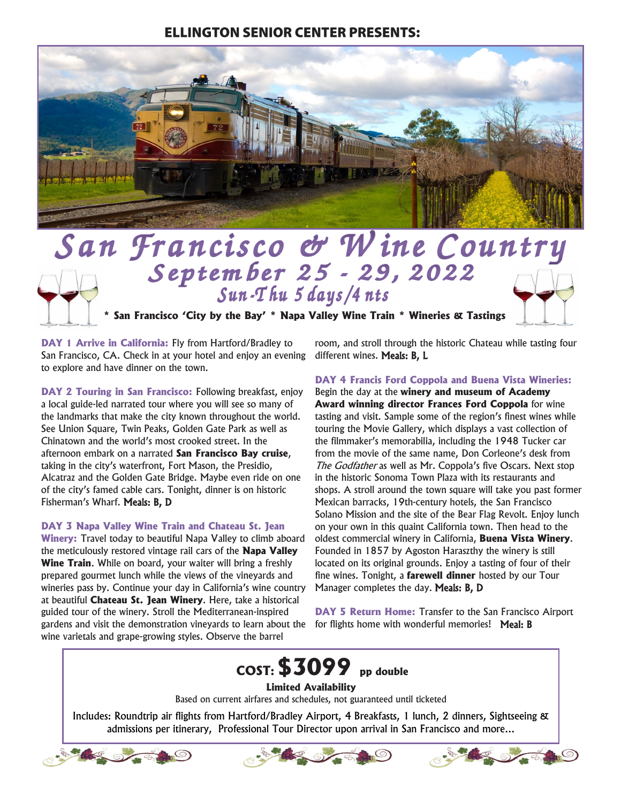## **ELLINGTON SENIOR CENTER PRESENTS:**



## San Francisco & Wine Country September 25 - 29, 2022

**\* San Francisco 'City by the Bay' \* Napa Valley Wine Train \* Wineries & Tastings**

**DAY 1 Arrive in California:** Fly from Hartford/Bradley to San Francisco, CA. Check in at your hotel and enjoy an evening to explore and have dinner on the town.

**DAY 2 Touring in San Francisco:** Following breakfast, enjoy a local guide-led narrated tour where you will see so many of the landmarks that make the city known throughout the world. See Union Square, Twin Peaks, Golden Gate Park as well as Chinatown and the world's most crooked street. In the afternoon embark on a narrated **San Francisco Bay cruise**, taking in the city's waterfront, Fort Mason, the Presidio, Alcatraz and the Golden Gate Bridge. Maybe even ride on one of the city's famed cable cars. Tonight, dinner is on historic Fisherman's Wharf. Meals: B, D

**DAY 3 Napa Valley Wine Train and Chateau St. Jean** 

**Winery:** Travel today to beautiful Napa Valley to climb aboard the meticulously restored vintage rail cars of the **Napa Valley Wine Train**. While on board, your waiter will bring a freshly prepared gourmet lunch while the views of the vineyards and wineries pass by. Continue your day in California's wine country at beautiful **Chateau St. Jean Winery**. Here, take a historical guided tour of the winery. Stroll the Mediterranean-inspired gardens and visit the demonstration vineyards to learn about the wine varietals and grape-growing styles. Observe the barrel

room, and stroll through the historic Chateau while tasting four different wines. Meals: B, L

**DAY 4 Francis Ford Coppola and Buena Vista Wineries:** 

Begin the day at the **winery and museum of Academy Award winning director Frances Ford Coppola** for wine tasting and visit. Sample some of the region's finest wines while touring the Movie Gallery, which displays a vast collection of the filmmaker's memorabilia, including the 1948 Tucker car from the movie of the same name, Don Corleone's desk from The Godfather as well as Mr. Coppola's five Oscars. Next stop in the historic Sonoma Town Plaza with its restaurants and shops. A stroll around the town square will take you past former Mexican barracks, 19th-century hotels, the San Francisco Solano Mission and the site of the Bear Flag Revolt. Enjoy lunch on your own in this quaint California town. Then head to the oldest commercial winery in California, **Buena Vista Winery**. Founded in 1857 by Agoston Haraszthy the winery is still located on its original grounds. Enjoy a tasting of four of their fine wines. Tonight, a **farewell dinner** hosted by our Tour Manager completes the day. Meals: B, D

**DAY 5 Return Home:** Transfer to the San Francisco Airport for flights home with wonderful memories! Meal: B

## **COST:\$3099 pp double**

## **Limited Availability**

Based on current airfares and schedules, not guaranteed until ticketed

Includes: Roundtrip air flights from Hartford/Bradley Airport, 4 Breakfasts, 1 lunch, 2 dinners, Sightseeing & admissions per itinerary, Professional Tour Director upon arrival in San Francisco and more...